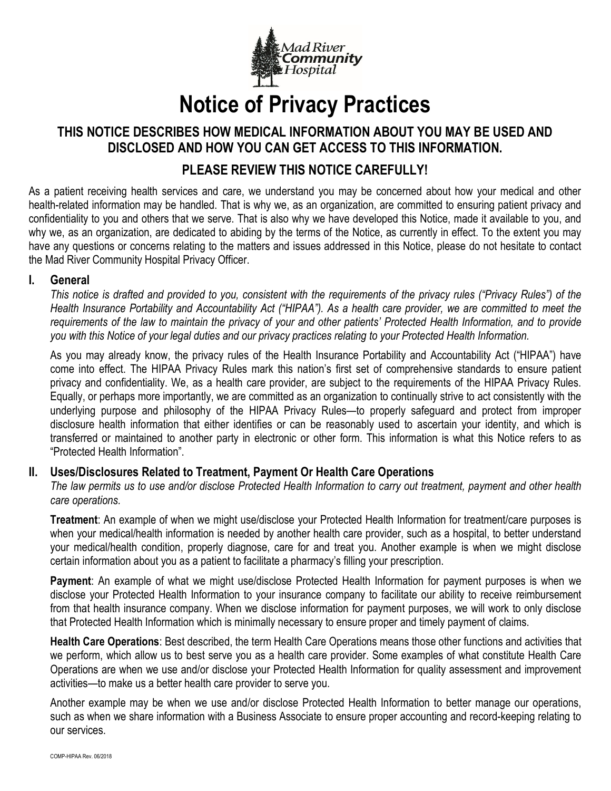

# Notice of Privacy Practices

## THIS NOTICE DESCRIBES HOW MEDICAL INFORMATION ABOUT YOU MAY BE USED AND DISCLOSED AND HOW YOU CAN GET ACCESS TO THIS INFORMATION.

# PLEASE REVIEW THIS NOTICE CAREFULLY!

As a patient receiving health services and care, we understand you may be concerned about how your medical and other health-related information may be handled. That is why we, as an organization, are committed to ensuring patient privacy and confidentiality to you and others that we serve. That is also why we have developed this Notice, made it available to you, and why we, as an organization, are dedicated to abiding by the terms of the Notice, as currently in effect. To the extent you may have any questions or concerns relating to the matters and issues addressed in this Notice, please do not hesitate to contact the Mad River Community Hospital Privacy Officer.

#### I. General

This notice is drafted and provided to you, consistent with the requirements of the privacy rules ("Privacy Rules") of the Health Insurance Portability and Accountability Act ("HIPAA"). As a health care provider, we are committed to meet the requirements of the law to maintain the privacy of your and other patients' Protected Health Information, and to provide you with this Notice of your legal duties and our privacy practices relating to your Protected Health Information.

As you may already know, the privacy rules of the Health Insurance Portability and Accountability Act ("HIPAA") have come into effect. The HIPAA Privacy Rules mark this nation's first set of comprehensive standards to ensure patient privacy and confidentiality. We, as a health care provider, are subject to the requirements of the HIPAA Privacy Rules. Equally, or perhaps more importantly, we are committed as an organization to continually strive to act consistently with the underlying purpose and philosophy of the HIPAA Privacy Rules—to properly safeguard and protect from improper disclosure health information that either identifies or can be reasonably used to ascertain your identity, and which is transferred or maintained to another party in electronic or other form. This information is what this Notice refers to as "Protected Health Information".

### II. Uses/Disclosures Related to Treatment, Payment Or Health Care Operations

The law permits us to use and/or disclose Protected Health Information to carry out treatment, payment and other health care operations.

Treatment: An example of when we might use/disclose your Protected Health Information for treatment/care purposes is when your medical/health information is needed by another health care provider, such as a hospital, to better understand your medical/health condition, properly diagnose, care for and treat you. Another example is when we might disclose certain information about you as a patient to facilitate a pharmacy's filling your prescription.

Payment: An example of what we might use/disclose Protected Health Information for payment purposes is when we disclose your Protected Health Information to your insurance company to facilitate our ability to receive reimbursement from that health insurance company. When we disclose information for payment purposes, we will work to only disclose that Protected Health Information which is minimally necessary to ensure proper and timely payment of claims.

Health Care Operations: Best described, the term Health Care Operations means those other functions and activities that we perform, which allow us to best serve you as a health care provider. Some examples of what constitute Health Care Operations are when we use and/or disclose your Protected Health Information for quality assessment and improvement activities—to make us a better health care provider to serve you.

Another example may be when we use and/or disclose Protected Health Information to better manage our operations, such as when we share information with a Business Associate to ensure proper accounting and record-keeping relating to our services.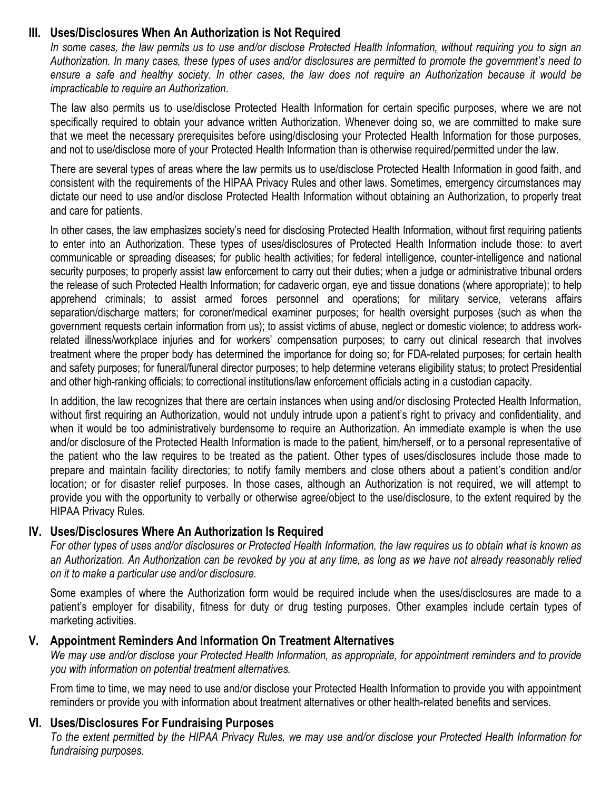#### III. Uses/Disclosures When An Authorization is Not Required

In some cases, the law permits us to use and/or disclose Protected Health Information, without requiring you to sign an Authorization. In many cases, these types of uses and/or disclosures are permitted to promote the government's need to ensure a safe and healthy society. In other cases, the law does not require an Authorization because it would be impracticable to require an Authorization.

The law also permits us to use/disclose Protected Health Information for certain specific purposes, where we are not specifically required to obtain your advance written Authorization. Whenever doing so, we are committed to make sure that we meet the necessary prerequisites before using/disclosing your Protected Health Information for those purposes, and not to use/disclose more of your Protected Health Information than is otherwise required/permitted under the law.

There are several types of areas where the law permits us to use/disclose Protected Health Information in good faith, and consistent with the requirements of the HIPAA Privacy Rules and other laws. Sometimes, emergency circumstances may dictate our need to use and/or disclose Protected Health Information without obtaining an Authorization, to properly treat and care for patients.

In other cases, the law emphasizes society's need for disclosing Protected Health Information, without first requiring patients to enter into an Authorization. These types of uses/disclosures of Protected Health Information include those: to avert communicable or spreading diseases; for public health activities; for federal intelligence, counter-intelligence and national security purposes; to properly assist law enforcement to carry out their duties; when a judge or administrative tribunal orders the release of such Protected Health Information; for cadaveric organ, eye and tissue donations (where appropriate); to help apprehend criminals; to assist armed forces personnel and operations; for military service, veterans affairs separation/discharge matters; for coroner/medical examiner purposes; for health oversight purposes (such as when the government requests certain information from us); to assist victims of abuse, neglect or domestic violence; to address workrelated illness/workplace injuries and for workers' compensation purposes; to carry out clinical research that involves treatment where the proper body has determined the importance for doing so; for FDA-related purposes; for certain health and safety purposes; for funeral/funeral director purposes; to help determine veterans eligibility status; to protect Presidential and other high-ranking officials; to correctional institutions/law enforcement officials acting in a custodian capacity.

In addition, the law recognizes that there are certain instances when using and/or disclosing Protected Health Information, without first requiring an Authorization, would not unduly intrude upon a patient's right to privacy and confidentiality, and when it would be too administratively burdensome to require an Authorization. An immediate example is when the use and/or disclosure of the Protected Health Information is made to the patient, him/herself, or to a personal representative of the patient who the law requires to be treated as the patient. Other types of uses/disclosures include those made to prepare and maintain facility directories; to notify family members and close others about a patient's condition and/or location; or for disaster relief purposes. In those cases, although an Authorization is not required, we will attempt to provide you with the opportunity to verbally or otherwise agree/object to the use/disclosure, to the extent required by the HIPAA Privacy Rules.

### IV. Uses/Disclosures Where An Authorization Is Required

For other types of uses and/or disclosures or Protected Health Information, the law requires us to obtain what is known as an Authorization. An Authorization can be revoked by you at any time, as long as we have not already reasonably relied on it to make a particular use and/or disclosure.

Some examples of where the Authorization form would be required include when the uses/disclosures are made to a patient's employer for disability, fitness for duty or drug testing purposes. Other examples include certain types of marketing activities.

### V. Appointment Reminders And Information On Treatment Alternatives

We may use and/or disclose your Protected Health Information, as appropriate, for appointment reminders and to provide you with information on potential treatment alternatives.

From time to time, we may need to use and/or disclose your Protected Health Information to provide you with appointment reminders or provide you with information about treatment alternatives or other health-related benefits and services.

### VI. Uses/Disclosures For Fundraising Purposes

To the extent permitted by the HIPAA Privacy Rules, we may use and/or disclose your Protected Health Information for fundraising purposes.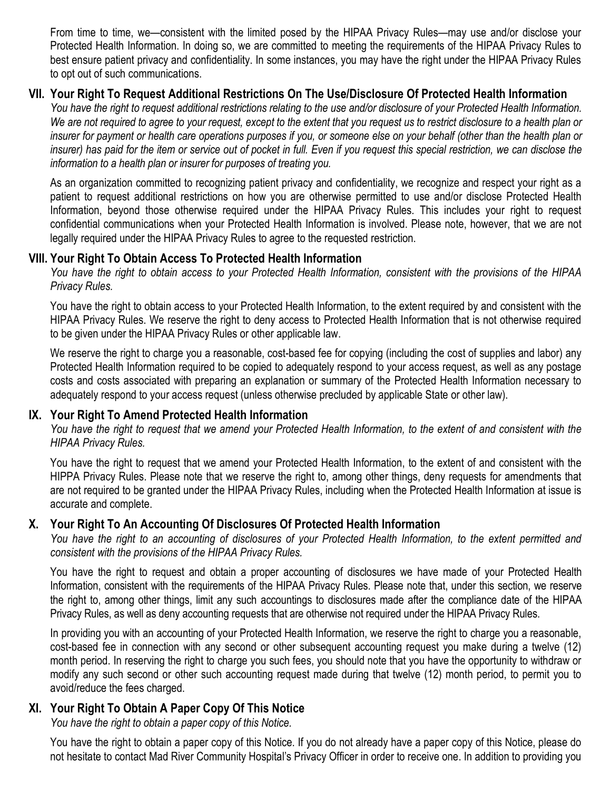From time to time, we—consistent with the limited posed by the HIPAA Privacy Rules—may use and/or disclose your Protected Health Information. In doing so, we are committed to meeting the requirements of the HIPAA Privacy Rules to best ensure patient privacy and confidentiality. In some instances, you may have the right under the HIPAA Privacy Rules to opt out of such communications.

## VII. Your Right To Request Additional Restrictions On The Use/Disclosure Of Protected Health Information

You have the right to request additional restrictions relating to the use and/or disclosure of your Protected Health Information. We are not required to agree to your request, except to the extent that you request us to restrict disclosure to a health plan or insurer for payment or health care operations purposes if you, or someone else on your behalf (other than the health plan or insurer) has paid for the item or service out of pocket in full. Even if you request this special restriction, we can disclose the information to a health plan or insurer for purposes of treating you.

As an organization committed to recognizing patient privacy and confidentiality, we recognize and respect your right as a patient to request additional restrictions on how you are otherwise permitted to use and/or disclose Protected Health Information, beyond those otherwise required under the HIPAA Privacy Rules. This includes your right to request confidential communications when your Protected Health Information is involved. Please note, however, that we are not legally required under the HIPAA Privacy Rules to agree to the requested restriction.

## VIII. Your Right To Obtain Access To Protected Health Information

You have the right to obtain access to your Protected Health Information, consistent with the provisions of the HIPAA Privacy Rules.

You have the right to obtain access to your Protected Health Information, to the extent required by and consistent with the HIPAA Privacy Rules. We reserve the right to deny access to Protected Health Information that is not otherwise required to be given under the HIPAA Privacy Rules or other applicable law.

We reserve the right to charge you a reasonable, cost-based fee for copying (including the cost of supplies and labor) any Protected Health Information required to be copied to adequately respond to your access request, as well as any postage costs and costs associated with preparing an explanation or summary of the Protected Health Information necessary to adequately respond to your access request (unless otherwise precluded by applicable State or other law).

### IX. Your Right To Amend Protected Health Information

You have the right to request that we amend your Protected Health Information, to the extent of and consistent with the HIPAA Privacy Rules.

You have the right to request that we amend your Protected Health Information, to the extent of and consistent with the HIPPA Privacy Rules. Please note that we reserve the right to, among other things, deny requests for amendments that are not required to be granted under the HIPAA Privacy Rules, including when the Protected Health Information at issue is accurate and complete.

### X. Your Right To An Accounting Of Disclosures Of Protected Health Information

You have the right to an accounting of disclosures of your Protected Health Information, to the extent permitted and consistent with the provisions of the HIPAA Privacy Rules.

You have the right to request and obtain a proper accounting of disclosures we have made of your Protected Health Information, consistent with the requirements of the HIPAA Privacy Rules. Please note that, under this section, we reserve the right to, among other things, limit any such accountings to disclosures made after the compliance date of the HIPAA Privacy Rules, as well as deny accounting requests that are otherwise not required under the HIPAA Privacy Rules.

In providing you with an accounting of your Protected Health Information, we reserve the right to charge you a reasonable, cost-based fee in connection with any second or other subsequent accounting request you make during a twelve (12) month period. In reserving the right to charge you such fees, you should note that you have the opportunity to withdraw or modify any such second or other such accounting request made during that twelve (12) month period, to permit you to avoid/reduce the fees charged.

### XI. Your Right To Obtain A Paper Copy Of This Notice

You have the right to obtain a paper copy of this Notice.

You have the right to obtain a paper copy of this Notice. If you do not already have a paper copy of this Notice, please do not hesitate to contact Mad River Community Hospital's Privacy Officer in order to receive one. In addition to providing you